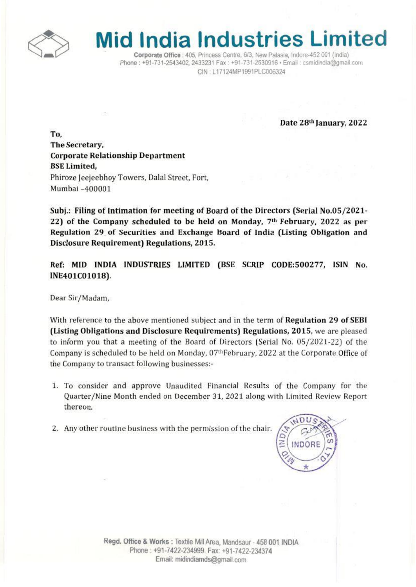

## **Mid India Industries Limited**

Corporate Office : 405, Princess Centre, 6/3, New Palasia, Indore-452 001 (India) Phone: +91-731-2543402, 2433231 Fax: +91-731-2530916 · Email: csmidindia@gmail.com CIN: L17124MP1991PLC006324

Date 28<sup>th</sup> January, 2022

To. The Secretary, Corporate Relationship Department **BSE** Limited. Phiroze Jeejeebhoy Towers, Dalal Street, Fort, Mumbat -400001

Subj.: Filing of Intimation for meeting of Board of the Directors (Serial No.OS/ZOZ1· 22) of the Company scheduled to be held on Monday, 7<sup>th</sup> February, 2022 as per Regulation 29 of Securities and Exchange Board of India (Listing Obligation and Disclosure Requirement) Regulations, 2015.

Ref: MID INDIA INDUSTRIES LIMITED (SSE SCRIP CODE:500277, ISIN No. INE401C01018).

Dear Sir/Madam.

With reference to the above mentioned subject and in the term of Regulation 29 of SEBI (Listing Obligations and Disclosure Requirements) Regulations, 2015, we are pleased to inform you that a meeting of the Board of Directors (Serial No. OS/2021·22) of the Company is scheduled to be held on Monday, 07<sup>th</sup>February, 2022 at the Corporate Office of the Company to transact following businesses:-

- 1. To consider and approve Unaudited Financial Results of the Company for the Quarter/Nine Month ended on December 31, 2021 along with Limited Review Report thereon.
- 2. Any other routine business with the permission of the chair.